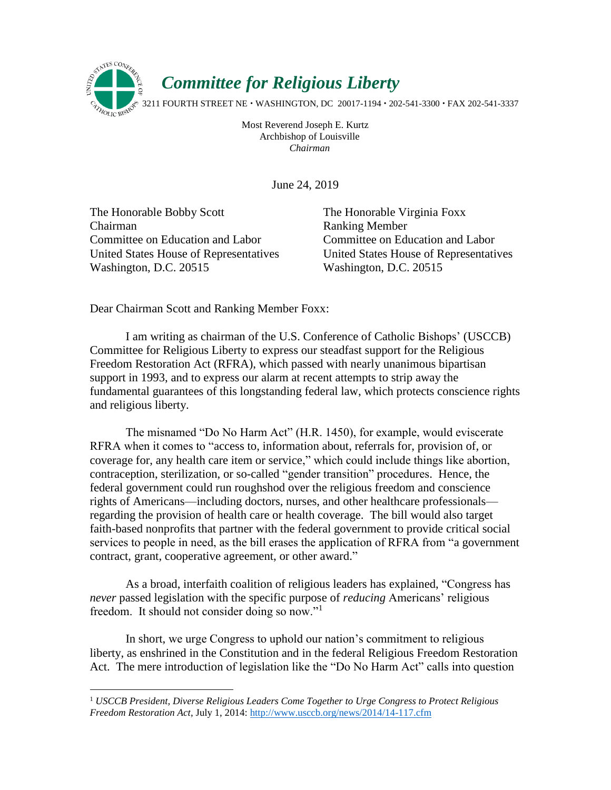

Most Reverend Joseph E. Kurtz Archbishop of Louisville *Chairman*

June 24, 2019

The Honorable Bobby Scott Chairman Committee on Education and Labor United States House of Representatives Washington, D.C. 20515

 $\overline{a}$ 

The Honorable Virginia Foxx Ranking Member Committee on Education and Labor United States House of Representatives Washington, D.C. 20515

Dear Chairman Scott and Ranking Member Foxx:

I am writing as chairman of the U.S. Conference of Catholic Bishops' (USCCB) Committee for Religious Liberty to express our steadfast support for the Religious Freedom Restoration Act (RFRA), which passed with nearly unanimous bipartisan support in 1993, and to express our alarm at recent attempts to strip away the fundamental guarantees of this longstanding federal law, which protects conscience rights and religious liberty.

The misnamed "Do No Harm Act" (H.R. 1450), for example, would eviscerate RFRA when it comes to "access to, information about, referrals for, provision of, or coverage for, any health care item or service," which could include things like abortion, contraception, sterilization, or so-called "gender transition" procedures. Hence, the federal government could run roughshod over the religious freedom and conscience rights of Americans—including doctors, nurses, and other healthcare professionals regarding the provision of health care or health coverage. The bill would also target faith-based nonprofits that partner with the federal government to provide critical social services to people in need, as the bill erases the application of RFRA from "a government contract, grant, cooperative agreement, or other award."

As a broad, interfaith coalition of religious leaders has explained, "Congress has *never* passed legislation with the specific purpose of *reducing* Americans' religious freedom. It should not consider doing so now."<sup>1</sup>

In short, we urge Congress to uphold our nation's commitment to religious liberty, as enshrined in the Constitution and in the federal Religious Freedom Restoration Act. The mere introduction of legislation like the "Do No Harm Act" calls into question

<sup>1</sup> *USCCB President, Diverse Religious Leaders Come Together to Urge Congress to Protect Religious Freedom Restoration Act*, July 1, 2014: http://www.usccb.org/news/2014/14-117.cfm